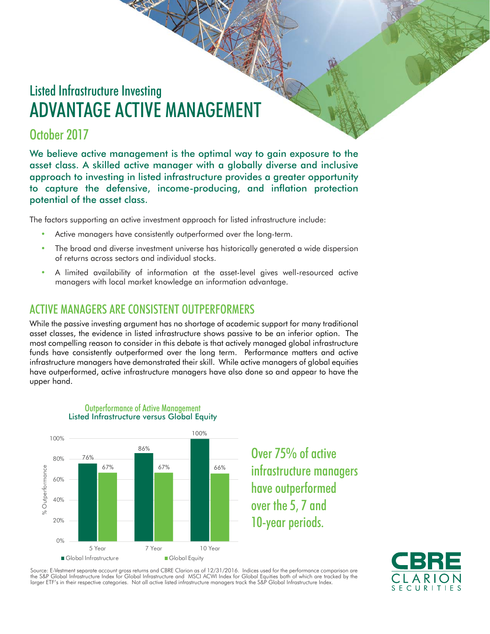# Listed Infrastructure Investing ADVANTAGE ACTIVE MANAGEMENT

# October 2017

We believe active management is the optimal way to gain exposure to the asset class. A skilled active manager with a globally diverse and inclusive approach to investing in listed infrastructure provides a greater opportunity to capture the defensive, income-producing, and inflation protection potential of the asset class.

The factors supporting an active investment approach for listed infrastructure include:

- Active managers have consistently outperformed over the long-term.
- The broad and diverse investment universe has historically generated a wide dispersion of returns across sectors and individual stocks.
- A limited availability of information at the asset-level gives well-resourced active managers with local market knowledge an information advantage.

# ACTIVE MANAGERS ARE CONSISTENT OUTPERFORMERS

While the passive investing argument has no shortage of academic support for many traditional asset classes, the evidence in listed infrastructure shows passive to be an inferior option. The most compelling reason to consider in this debate is that actively managed global infrastructure funds have consistently outperformed over the long term. Performance matters and active infrastructure managers have demonstrated their skill. While active managers of global equities have outperformed, active infrastructure managers have also done so and appear to have the upper hand.



Outperformance of Active Management Listed Infrastructure versus Global Equity

> Over 75% of active infrastructure managers have outperformed over the 5, 7 and 10-year periods.



Source: E-Vestment separate account gross returns and CBRE Clarion as of 12/31/2016. Indices used for the performance comparison are<br>the S&P Global Infrastructure Index for Global Infrastructure and MSCI ACWI Index for Glo larger ETF's in their respective categories. Not all active listed infrastructure managers track the S&P Global Infrastructure Index.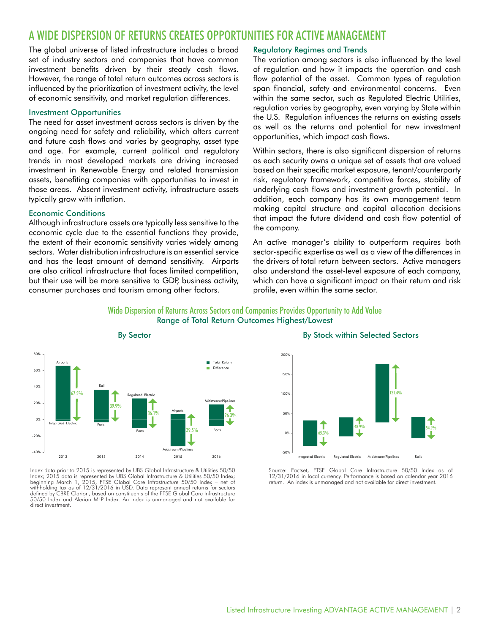# A WIDE DISPERSION OF RETURNS CREATES OPPORTUNITIES FOR ACTIVE MANAGEMENT

The global universe of listed infrastructure includes a broad set of industry sectors and companies that have common investment benefits driven by their steady cash flows. However, the range of total return outcomes across sectors is influenced by the prioritization of investment activity, the level of economic sensitivity, and market regulation differences.

#### Investment Opportunities

The need for asset investment across sectors is driven by the ongoing need for safety and reliability, which alters current and future cash flows and varies by geography, asset type and age. For example, current political and regulatory trends in most developed markets are driving increased investment in Renewable Energy and related transmission assets, benefiting companies with opportunities to invest in those areas. Absent investment activity, infrastructure assets typically grow with inflation.

#### Economic Conditions

Although infrastructure assets are typically less sensitive to the economic cycle due to the essential functions they provide, the extent of their economic sensitivity varies widely among sectors. Water distribution infrastructure is an essential service and has the least amount of demand sensitivity. Airports are also critical infrastructure that faces limited competition, but their use will be more sensitive to GDP, business activity, consumer purchases and tourism among other factors.

#### Regulatory Regimes and Trends

The variation among sectors is also influenced by the level of regulation and how it impacts the operation and cash flow potential of the asset. Common types of regulation span financial, safety and environmental concerns. Even within the same sector, such as Regulated Electric Utilities, regulation varies by geography, even varying by State within the U.S. Regulation influences the returns on existing assets as well as the returns and potential for new investment opportunities, which impact cash flows.

Within sectors, there is also significant dispersion of returns as each security owns a unique set of assets that are valued based on their specific market exposure, tenant/counterparty risk, regulatory framework, competitive forces, stability of underlying cash flows and investment growth potential. In addition, each company has its own management team making capital structure and capital allocation decisions that impact the future dividend and cash flow potential of the company.

An active manager's ability to outperform requires both sector-specific expertise as well as a view of the differences in the drivers of total return between sectors. Active managers also understand the asset-level exposure of each company, which can have a significant impact on their return and risk profile, even within the same sector.

#### Wide Dispersion of Returns Across Sectors and Companies Provides Opportunity to Add Value Range of Total Return Outcomes Highest/Lowest



Index data prior to 2015 is represented by UBS Global Infrastructure & Utilities 50/50 Index; 2015 data is represented by UBS Global Infrastructure & Utilities 50/50 Index; beginning March 1, 2015, FTSE Global Core Infrastructure 50/50 Index – net of withholding tax as of 12/31/2016 in USD. Data represent annual returns for sectors defined by CBRE Clarion, based on constituents of the FTSE Global Core Infrastructure 50/50 Index and Alerian MLP Index. An index is unmanaged and not available for direct investment.

#### By Stock within Selected Sectors



Source: Factset, FTSE Global Core Infrastructure 50/50 Index as of 12/31/2016 in local currency. Performance is based on calendar year 2016 return. An index is unmanaged and not available for direct investment.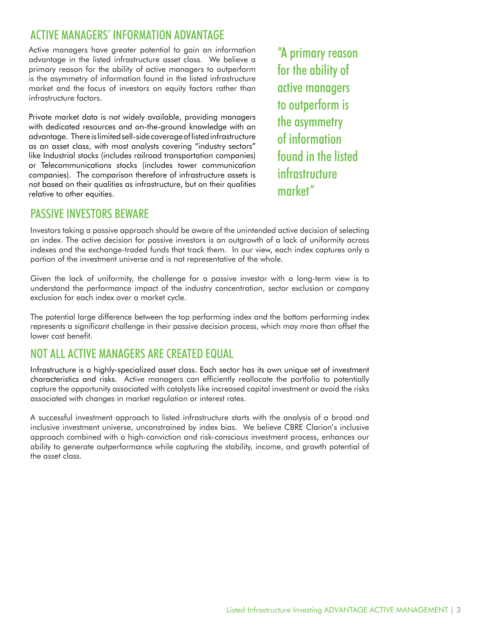# ACTIVE MANAGERS' INFORMATION ADVANTAGE

Active managers have greater potential to gain an information advantage in the listed infrastructure asset class. We believe a primary reason for the ability of active managers to outperform is the asymmetry of information found in the listed infrastructure market and the focus of investors on equity factors rather than infrastructure factors.

Private market data is not widely available, providing managers with dedicated resources and on-the-ground knowledge with an advantage. There is limited sell-side coverage of listed infrastructure as an asset class, with most analysts covering "industry sectors" like Industrial stocks (includes railroad transportation companies) or Telecommunications stocks (includes tower communication companies). The comparison therefore of infrastructure assets is not based on their qualities as infrastructure, but on their qualities relative to other equities.

"A primary reason for the ability of active managers to outperform is the asymmetry of information found in the listed infrastructure market"

# PASSIVE INVESTORS BEWARE

Investors taking a passive approach should be aware of the unintended active decision of selecting an index. The active decision for passive investors is an outgrowth of a lack of uniformity across indexes and the exchange-traded funds that track them. In our view, each index captures only a portion of the investment universe and is not representative of the whole.

Given the lack of uniformity, the challenge for a passive investor with a long-term view is to understand the performance impact of the industry concentration, sector exclusion or company exclusion for each index over a market cycle.

The potential large difference between the top performing index and the bottom performing index represents a significant challenge in their passive decision process, which may more than offset the lower cost benefit.

# NOT ALL ACTIVE MANAGERS ARE CREATED EQUAL

Infrastructure is a highly-specialized asset class. Each sector has its own unique set of investment characteristics and risks. Active managers can efficiently reallocate the portfolio to potentially capture the opportunity associated with catalysts like increased capital investment or avoid the risks associated with changes in market regulation or interest rates.

A successful investment approach to listed infrastructure starts with the analysis of a broad and inclusive investment universe, unconstrained by index bias. We believe CBRE Clarion's inclusive approach combined with a high-conviction and risk-conscious investment process, enhances our ability to generate outperformance while capturing the stability, income, and growth potential of the asset class.